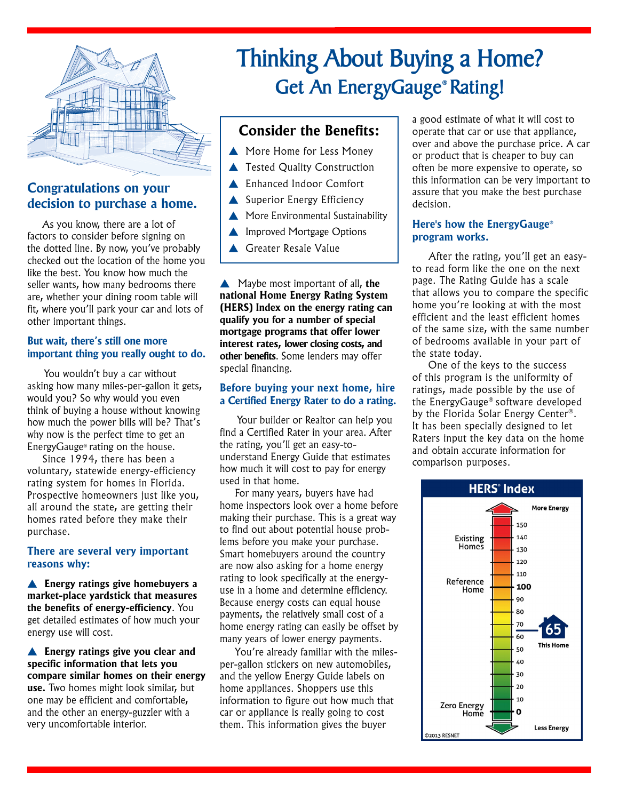

# **Congratulations on your decision to purchase a home.**

 As you know, there are a lot of factors to consider before signing on the dotted line. By now, you've probably checked out the location of the home you like the best. You know how much the seller wants, how many bedrooms there are, whether your dining room table will fit, where you'll park your car and lots of other important things.

#### **But wait, there's still one more important thing you really ought to do.**

You wouldn't buy a car without asking how many miles-per-gallon it gets, would you? So why would you even think of buying a house without knowing how much the power bills will be? That's why now is the perfect time to get an EnergyGauge® rating on the house.

 Since 1994, there has been a voluntary, statewide energy-efficiency rating system for homes in Florida. Prospective homeowners just like you, all around the state, are getting their homes rated before they make their purchase.

#### **There are several very important reasons why:**

**Energy ratings give homebuyers a market-place yardstick that measures the benefits of energy-efficiency**. You get detailed estimates of how much your energy use will cost.

**Energy ratings give you clear and specific information that lets you compare similar homes on their energy use.** Two homes might look similar, but one may be efficient and comfortable, and the other an energy-guzzler with a very uncomfortable interior.

# **Thinking About Buying a Home? Get An EnergyGauge® Rating!**

## **Consider the Benefits:**

- More Home for Less Money
- $\blacktriangle$  Tested Quality Construction
- ▲ Enhanced Indoor Comfort
- $\triangle$  Superior Energy Efficiency
- $\triangle$  More Environmental Sustainability
- $\triangle$  Improved Mortgage Options
- **A** Greater Resale Value

**A** Maybe most important of all, the **national Home Energy Rating System (HERS) Index on the energy rating can qualify you for a number of special mortgage programs that offer lower interest rates, lower closing costs, and other benefits**. Some lenders may offer special financing.

#### **Before buying your next home, hire a Certified Energy Rater to do a rating.**

Your builder or Realtor can help you find a Certified Rater in your area. After the rating, you'll get an easy-tounderstand Energy Guide that estimates how much it will cost to pay for energy used in that home.

 For many years, buyers have had home inspectors look over a home before making their purchase. This is a great way to find out about potential house problems before you make your purchase. Smart homebuyers around the country are now also asking for a home energy rating to look specifically at the energyuse in a home and determine efficiency. Because energy costs can equal house payments, the relatively small cost of a home energy rating can easily be offset by many years of lower energy payments.

 You're already familiar with the milesper-gallon stickers on new automobiles, and the yellow Energy Guide labels on home appliances. Shoppers use this information to figure out how much that car or appliance is really going to cost them. This information gives the buyer

a good estimate of what it will cost to operate that car or use that appliance, over and above the purchase price. A car or product that is cheaper to buy can often be more expensive to operate, so this information can be very important to assure that you make the best purchase decision.

#### **Here's how the EnergyGauge® program works.**

 After the rating, you'll get an easyto read form like the one on the next page. The Rating Guide has a scale that allows you to compare the specific home you're looking at with the most efficient and the least efficient homes of the same size, with the same number of bedrooms available in your part of the state today.

 One of the keys to the success of this program is the uniformity of ratings, made possible by the use of the EnergyGauge® software developed by the Florida Solar Energy Center®. It has been specially designed to let Raters input the key data on the home and obtain accurate information for comparison purposes.